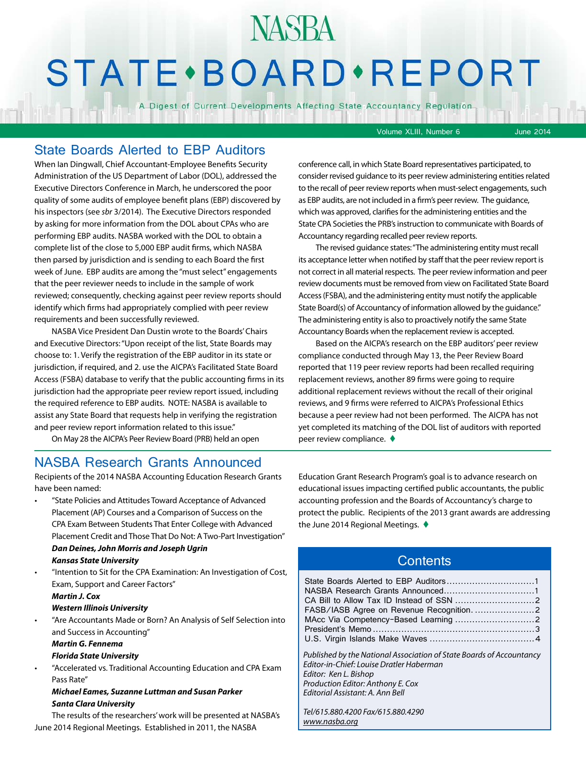# **STATE** · BOARD · REPORT

**NASBA** 

A Digest of Current Developments Affecting State Accountancy Regulation

Volume XLIII, Number 6 June 2014

## State Boards Alerted to EBP Auditors

When Ian Dingwall, Chief Accountant-Employee Benefits Security Administration of the US Department of Labor (DOL), addressed the Executive Directors Conference in March, he underscored the poor quality of some audits of employee benefit plans (EBP) discovered by his inspectors (see *sbr* 3/2014). The Executive Directors responded by asking for more information from the DOL about CPAs who are performing EBP audits. NASBA worked with the DOL to obtain a complete list of the close to 5,000 EBP audit firms, which NASBA then parsed by jurisdiction and is sending to each Board the first week of June. EBP audits are among the "must select" engagements that the peer reviewer needs to include in the sample of work reviewed; consequently, checking against peer review reports should identify which firms had appropriately complied with peer review requirements and been successfully reviewed.

NASBA Vice President Dan Dustin wrote to the Boards' Chairs and Executive Directors: "Upon receipt of the list, State Boards may choose to: 1. Verify the registration of the EBP auditor in its state or jurisdiction, if required, and 2. use the AICPA's Facilitated State Board Access (FSBA) database to verify that the public accounting firms in its jurisdiction had the appropriate peer review report issued, including the required reference to EBP audits. NOTE: NASBA is available to assist any State Board that requests help in verifying the registration and peer review report information related to this issue."

On May 28 the AICPA's Peer Review Board (PRB) held an open

conference call, in which State Board representatives participated, to consider revised guidance to its peer review administering entities related to the recall of peer review reports when must-select engagements, such as EBP audits, are not included in a firm's peer review. The guidance, which was approved, clarifies for the administering entities and the State CPA Societies the PRB's instruction to communicate with Boards of Accountancy regarding recalled peer review reports.

The revised guidance states: "The administering entity must recall its acceptance letter when notified by staff that the peer review report is not correct in all material respects. The peer review information and peer review documents must be removed from view on Facilitated State Board Access (FSBA), and the administering entity must notify the applicable State Board(s) of Accountancy of information allowed by the guidance." The administering entity is also to proactively notify the same State Accountancy Boards when the replacement review is accepted.

Based on the AICPA's research on the EBP auditors' peer review compliance conducted through May 13, the Peer Review Board reported that 119 peer review reports had been recalled requiring replacement reviews, another 89 firms were going to require additional replacement reviews without the recall of their original reviews, and 9 firms were referred to AICPA's Professional Ethics because a peer review had not been performed. The AICPA has not yet completed its matching of the DOL list of auditors with reported peer review compliance.  $\blacklozenge$ 

## NASBA Research Grants Announced

Recipients of the 2014 NASBA Accounting Education Research Grants have been named:

• "State Policies and Attitudes Toward Acceptance of Advanced Placement (AP) Courses and a Comparison of Success on the CPA Exam Between Students That Enter College with Advanced Placement Credit and Those That Do Not: A Two-Part Investigation" *Dan Deines, John Morris and Joseph Ugrin*

#### *Kansas State University*

• "Intention to Sit for the CPA Examination: An Investigation of Cost, Exam, Support and Career Factors"

#### *Martin J. Cox*

#### *Western Illinois University*

• "Are Accountants Made or Born? An Analysis of Self Selection into and Success in Accounting"

#### *Martin G. Fennema*

#### *Florida State University*

• "Accelerated vs. Traditional Accounting Education and CPA Exam Pass Rate"

#### *Michael Eames, Suzanne Luttman and Susan Parker Santa Clara University*

The results of the researchers' work will be presented at NASBA's June 2014 Regional Meetings. Established in 2011, the NASBA

Education Grant Research Program's goal is to advance research on educational issues impacting certified public accountants, the public accounting profession and the Boards of Accountancy's charge to protect the public. Recipients of the 2013 grant awards are addressing the June 2014 Regional Meetings.  $\blacklozenge$ 

## **Contents**

| Published by the National Association of State Boards of Accountancy<br>Editor-in-Chief: Louise Dratler Haberman<br>Editor: Ken L. Bishop<br>Production Editor: Anthony E. Cox<br>Editorial Assistant: A. Ann Bell |  |
|--------------------------------------------------------------------------------------------------------------------------------------------------------------------------------------------------------------------|--|
|                                                                                                                                                                                                                    |  |

*Tel/615.880.4200 Fax/615.880.4290 [www.nasba.org](http://www.nasba.org)*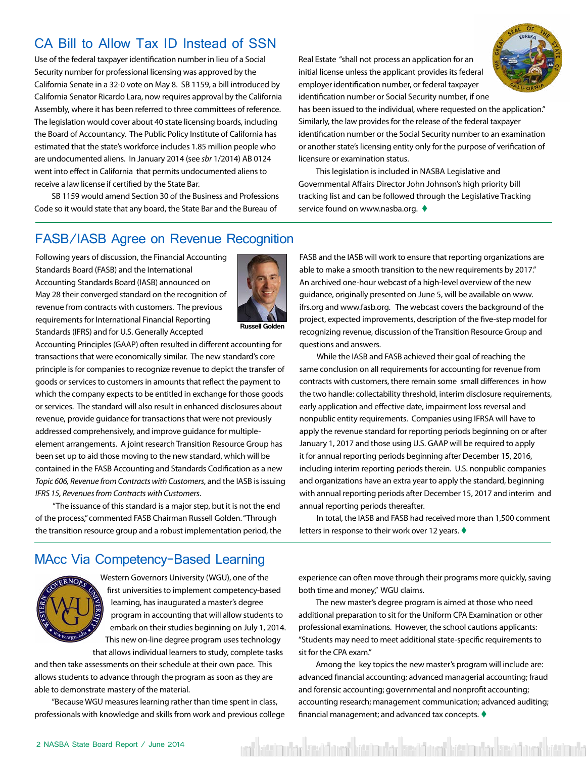# <span id="page-1-0"></span>CA Bill to Allow Tax ID Instead of SSN

Use of the federal taxpayer identification number in lieu of a Social Security number for professional licensing was approved by the California Senate in a 32-0 vote on May 8. SB 1159, a bill introduced by California Senator Ricardo Lara, now requires approval by the California Assembly, where it has been referred to three committees of reference. The legislation would cover about 40 state licensing boards, including the Board of Accountancy. The Public Policy Institute of California has estimated that the state's workforce includes 1.85 million people who are undocumented aliens. In January 2014 (see *sbr* 1/2014) AB 0124 went into effect in California that permits undocumented aliens to receive a law license if certified by the State Bar.

SB 1159 would amend Section 30 of the Business and Professions Code so it would state that any board, the State Bar and the Bureau of

Real Estate "shall not process an application for an initial license unless the applicant provides its federal employer identification number, or federal taxpayer identification number or Social Security number, if one



has been issued to the individual, where requested on the application." Similarly, the law provides for the release of the federal taxpayer identification number or the Social Security number to an examination or another state's licensing entity only for the purpose of verification of licensure or examination status.

This legislation is included in NASBA Legislative and Governmental Affairs Director John Johnson's high priority bill tracking list and can be followed through the Legislative Tracking service found on www.nasba.org.  $\blacklozenge$ 

### FASB/IASB Agree on Revenue Recognition

Following years of discussion, the Financial Accounting Standards Board (FASB) and the International Accounting Standards Board (IASB) announced on May 28 their converged standard on the recognition of revenue from contracts with customers. The previous requirements for International Financial Reporting Standards (IFRS) and for U.S. Generally Accepted



Accounting Principles (GAAP) often resulted in different accounting for transactions that were economically similar. The new standard's core principle is for companies to recognize revenue to depict the transfer of goods or services to customers in amounts that reflect the payment to which the company expects to be entitled in exchange for those goods or services. The standard will also result in enhanced disclosures about revenue, provide guidance for transactions that were not previously addressed comprehensively, and improve guidance for multipleelement arrangements. A joint research Transition Resource Group has been set up to aid those moving to the new standard, which will be contained in the FASB Accounting and Standards Codification as a new *Topic 606, Revenue from Contracts with Customers*, and the IASB is issuing *IFRS 15, Revenues from Contracts with Customers*.

"The issuance of this standard is a major step, but it is not the end of the process," commented FASB Chairman Russell Golden. "Through the transition resource group and a robust implementation period, the FASB and the IASB will work to ensure that reporting organizations are able to make a smooth transition to the new requirements by 2017." An archived one-hour webcast of a high-level overview of the new guidance, originally presented on June 5, will be available on www. ifrs.org and www.fasb.org. The webcast covers the background of the project, expected improvements, description of the five-step model for recognizing revenue, discussion of the Transition Resource Group and questions and answers.

While the IASB and FASB achieved their goal of reaching the same conclusion on all requirements for accounting for revenue from contracts with customers, there remain some small differences in how the two handle: collectability threshold, interim disclosure requirements, early application and effective date, impairment loss reversal and nonpublic entity requirements. Companies using IFRSA will have to apply the revenue standard for reporting periods beginning on or after January 1, 2017 and those using U.S. GAAP will be required to apply it for annual reporting periods beginning after December 15, 2016, including interim reporting periods therein. U.S. nonpublic companies and organizations have an extra year to apply the standard, beginning with annual reporting periods after December 15, 2017 and interim and annual reporting periods thereafter.

In total, the IASB and FASB had received more than 1,500 comment letters in response to their work over 12 years.  $\blacklozenge$ 

#### MAcc Via Competency-Based Learning



Western Governors University (WGU), one of the first universities to implement competency-based learning, has inaugurated a master's degree program in accounting that will allow students to embark on their studies beginning on July 1, 2014. This new on-line degree program uses technology that allows individual learners to study, complete tasks

and then take assessments on their schedule at their own pace. This allows students to advance through the program as soon as they are able to demonstrate mastery of the material.

"Because WGU measures learning rather than time spent in class, professionals with knowledge and skills from work and previous college experience can often move through their programs more quickly, saving both time and money," WGU claims.

The new master's degree program is aimed at those who need additional preparation to sit for the Uniform CPA Examination or other professional examinations. However, the school cautions applicants: "Students may need to meet additional state-specific requirements to sit for the CPA exam."

Among the key topics the new master's program will include are: advanced financial accounting; advanced managerial accounting; fraud and forensic accounting; governmental and nonprofit accounting; accounting research; management communication; advanced auditing; financial management; and advanced tax concepts.  $\blacklozenge$ 

est bitti iradi saat basi kati urba kasi basi kasi ost basi kan basi kasi ka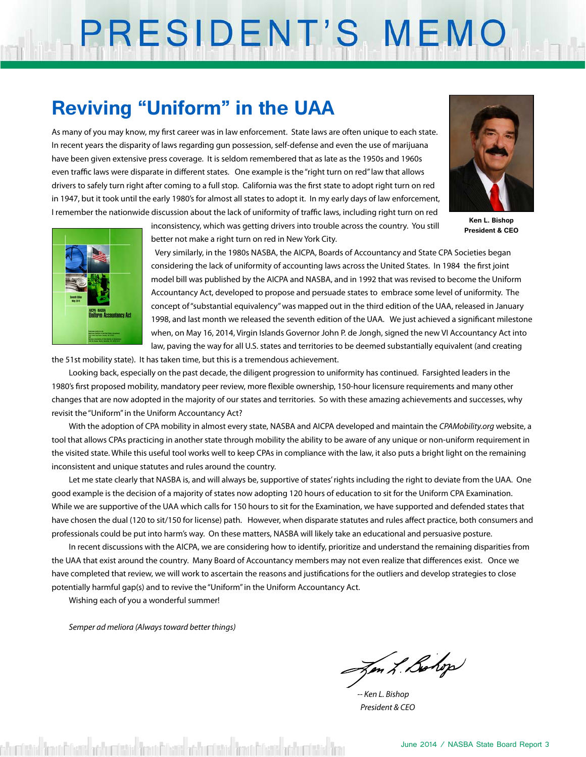# PRESIDENT'S MEMO

# **Reviving "Uniform" in the UAA**

As many of you may know, my first career was in law enforcement. State laws are often unique to each state. In recent years the disparity of laws regarding gun possession, self-defense and even the use of marijuana have been given extensive press coverage. It is seldom remembered that as late as the 1950s and 1960s even traffic laws were disparate in different states. One example is the "right turn on red" law that allows drivers to safely turn right after coming to a full stop. California was the first state to adopt right turn on red in 1947, but it took until the early 1980's for almost all states to adopt it. In my early days of law enforcement, I remember the nationwide discussion about the lack of uniformity of traffic laws, including right turn on red



**Ken L. Bishop President & CEO**



inconsistency, which was getting drivers into trouble across the country. You still better not make a right turn on red in New York City.

Very similarly, in the 1980s NASBA, the AICPA, Boards of Accountancy and State CPA Societies began considering the lack of uniformity of accounting laws across the United States. In 1984 the first joint model bill was published by the AICPA and NASBA, and in 1992 that was revised to become the Uniform Accountancy Act, developed to propose and persuade states to embrace some level of uniformity. The concept of "substantial equivalency" was mapped out in the third edition of the UAA, released in January 1998, and last month we released the seventh edition of the UAA. We just achieved a significant milestone when, on May 16, 2014, Virgin Islands Governor John P. de Jongh, signed the new VI Accountancy Act into law, paving the way for all U.S. states and territories to be deemed substantially equivalent (and creating

the 51st mobility state). It has taken time, but this is a tremendous achievement.

Looking back, especially on the past decade, the diligent progression to uniformity has continued. Farsighted leaders in the 1980's first proposed mobility, mandatory peer review, more flexible ownership, 150-hour licensure requirements and many other changes that are now adopted in the majority of our states and territories. So with these amazing achievements and successes, why revisit the "Uniform" in the Uniform Accountancy Act?

With the adoption of CPA mobility in almost every state, NASBA and AICPA developed and maintain the *CPAMobility.org* website, a tool that allows CPAs practicing in another state through mobility the ability to be aware of any unique or non-uniform requirement in the visited state. While this useful tool works well to keep CPAs in compliance with the law, it also puts a bright light on the remaining inconsistent and unique statutes and rules around the country.

Let me state clearly that NASBA is, and will always be, supportive of states' rights including the right to deviate from the UAA. One good example is the decision of a majority of states now adopting 120 hours of education to sit for the Uniform CPA Examination. While we are supportive of the UAA which calls for 150 hours to sit for the Examination, we have supported and defended states that have chosen the dual (120 to sit/150 for license) path. However, when disparate statutes and rules affect practice, both consumers and professionals could be put into harm's way. On these matters, NASBA will likely take an educational and persuasive posture.

In recent discussions with the AICPA, we are considering how to identify, prioritize and understand the remaining disparities from the UAA that exist around the country. Many Board of Accountancy members may not even realize that differences exist. Once we have completed that review, we will work to ascertain the reasons and justifications for the outliers and develop strategies to close potentially harmful gap(s) and to revive the "Uniform" in the Uniform Accountancy Act.

Wishing each of you a wonderful summer!

*Semper ad meliora (Always toward better things)*

Jen L. Bolop

*-- Ken L. Bishop President & CEO*

skumistija (kratafalaris) orakumistija (kratafalaris) orakumistija (kratafalaris) (kra